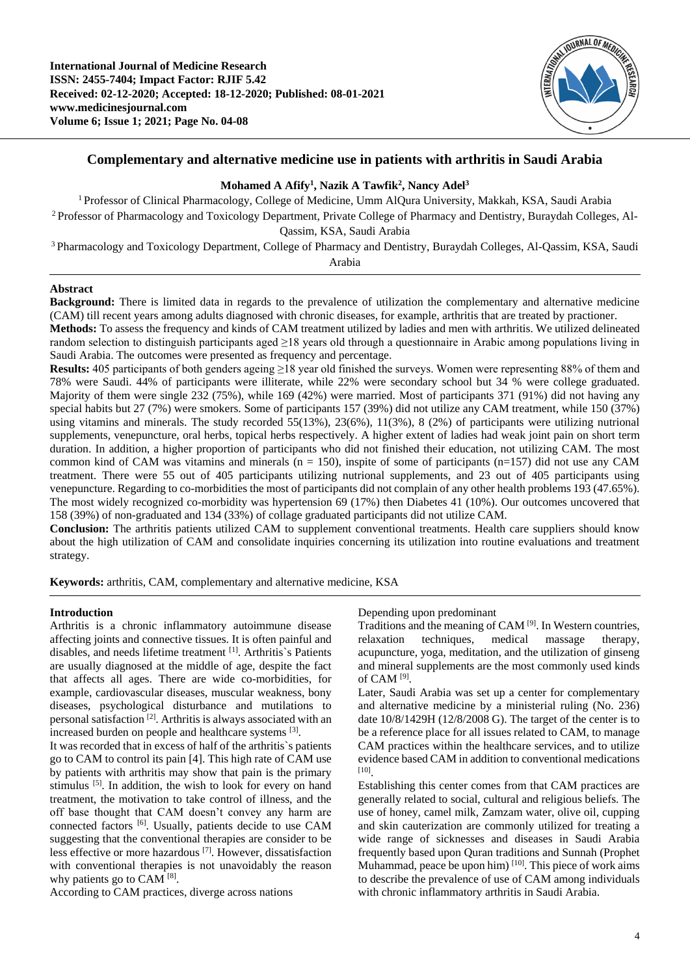

# **Complementary and alternative medicine use in patients with arthritis in Saudi Arabia**

## **Mohamed A Afify<sup>1</sup> , Nazik A Tawfik<sup>2</sup> , Nancy Adel<sup>3</sup>**

<sup>1</sup>Professor of Clinical Pharmacology, College of Medicine, Umm AlQura University, Makkah, KSA, Saudi Arabia 2 Professor of Pharmacology and Toxicology Department, Private College of Pharmacy and Dentistry, Buraydah Colleges, Al-Qassim, KSA, Saudi Arabia

<sup>3</sup>Pharmacology and Toxicology Department, College of Pharmacy and Dentistry, Buraydah Colleges, Al-Qassim, KSA, Saudi Arabia

## **Abstract**

**Background:** There is limited data in regards to the prevalence of utilization the complementary and alternative medicine (CAM) till recent years among adults diagnosed with chronic diseases, for example, arthritis that are treated by practioner.

**Methods:** To assess the frequency and kinds of CAM treatment utilized by ladies and men with arthritis. We utilized delineated random selection to distinguish participants aged  $\geq$ 18 years old through a questionnaire in Arabic among populations living in Saudi Arabia. The outcomes were presented as frequency and percentage.

**Results:** 405 participants of both genders ageing ≥18 year old finished the surveys. Women were representing 88% of them and 78% were Saudi. 44% of participants were illiterate, while 22% were secondary school but 34 % were college graduated. Majority of them were single 232 (75%), while 169 (42%) were married. Most of participants 371 (91%) did not having any special habits but 27 (7%) were smokers. Some of participants 157 (39%) did not utilize any CAM treatment, while 150 (37%) using vitamins and minerals. The study recorded 55(13%), 23(6%), 11(3%), 8 (2%) of participants were utilizing nutrional supplements, venepuncture, oral herbs, topical herbs respectively. A higher extent of ladies had weak joint pain on short term duration. In addition, a higher proportion of participants who did not finished their education, not utilizing CAM. The most common kind of CAM was vitamins and minerals  $(n = 150)$ , inspite of some of participants  $(n=157)$  did not use any CAM treatment. There were 55 out of 405 participants utilizing nutrional supplements, and 23 out of 405 participants using venepuncture. Regarding to co-morbidities the most of participants did not complain of any other health problems 193 (47.65%). The most widely recognized co-morbidity was hypertension 69 (17%) then Diabetes 41 (10%). Our outcomes uncovered that 158 (39%) of non-graduated and 134 (33%) of collage graduated participants did not utilize CAM.

**Conclusion:** The arthritis patients utilized CAM to supplement conventional treatments. Health care suppliers should know about the high utilization of CAM and consolidate inquiries concerning its utilization into routine evaluations and treatment strategy.

**Keywords:** arthritis, CAM, complementary and alternative medicine, KSA

### **Introduction**

Arthritis is a chronic inflammatory autoimmune disease affecting joints and connective tissues. It is often painful and disables, and needs lifetime treatment [1] . Arthritis`s Patients are usually diagnosed at the middle of age, despite the fact that affects all ages. There are wide co-morbidities, for example, cardiovascular diseases, muscular weakness, bony diseases, psychological disturbance and mutilations to personal satisfaction [2]. Arthritis is always associated with an increased burden on people and healthcare systems <sup>[3]</sup>.

It was recorded that in excess of half of the arthritis`s patients go to CAM to control its pain [4]. This high rate of CAM use by patients with arthritis may show that pain is the primary stimulus <sup>[5]</sup>. In addition, the wish to look for every on hand treatment, the motivation to take control of illness, and the off base thought that CAM doesn't convey any harm are connected factors [6]. Usually, patients decide to use CAM suggesting that the conventional therapies are consider to be less effective or more hazardous [7]. However, dissatisfaction with conventional therapies is not unavoidably the reason why patients go to CAM  $^{[8]}$ .

According to CAM practices, diverge across nations

Depending upon predominant

Traditions and the meaning of CAM [9]. In Western countries, relaxation techniques, medical massage therapy, acupuncture, yoga, meditation, and the utilization of ginseng and mineral supplements are the most commonly used kinds of CAM [9] .

Later, Saudi Arabia was set up a center for complementary and alternative medicine by a ministerial ruling (No. 236) date 10/8/1429H (12/8/2008 G). The target of the center is to be a reference place for all issues related to CAM, to manage CAM practices within the healthcare services, and to utilize evidence based CAM in addition to conventional medications [10] .

Establishing this center comes from that CAM practices are generally related to social, cultural and religious beliefs. The use of honey, camel milk, Zamzam water, olive oil, cupping and skin cauterization are commonly utilized for treating a wide range of sicknesses and diseases in Saudi Arabia frequently based upon Quran traditions and Sunnah (Prophet Muhammad, peace be upon him)  $[10]$ . This piece of work aims to describe the prevalence of use of CAM among individuals with chronic inflammatory arthritis in Saudi Arabia.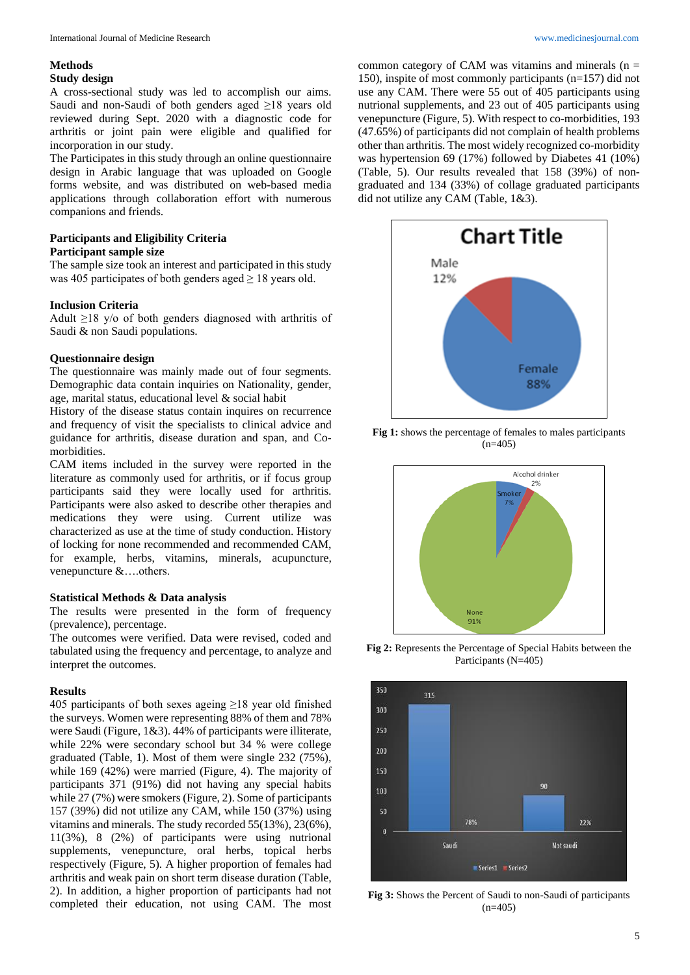# **Methods**

## **Study design**

A cross-sectional study was led to accomplish our aims. Saudi and non-Saudi of both genders aged ≥18 years old reviewed during Sept. 2020 with a diagnostic code for arthritis or joint pain were eligible and qualified for incorporation in our study.

The Participates in this study through an online questionnaire design in Arabic language that was uploaded on Google forms website, and was distributed on web-based media applications through collaboration effort with numerous companions and friends.

## **Participants and Eligibility Criteria Participant sample size**

The sample size took an interest and participated in this study was 405 participates of both genders aged  $\geq$  18 years old.

# **Inclusion Criteria**

Adult  $\geq$ 18 y/o of both genders diagnosed with arthritis of Saudi & non Saudi populations.

# **Questionnaire design**

The questionnaire was mainly made out of four segments. Demographic data contain inquiries on Nationality, gender, age, marital status, educational level & social habit

History of the disease status contain inquires on recurrence and frequency of visit the specialists to clinical advice and guidance for arthritis, disease duration and span, and Comorbidities.

CAM items included in the survey were reported in the literature as commonly used for arthritis, or if focus group participants said they were locally used for arthritis. Participants were also asked to describe other therapies and medications they were using. Current utilize was characterized as use at the time of study conduction. History of locking for none recommended and recommended CAM, for example, herbs, vitamins, minerals, acupuncture, venepuncture &….others.

# **Statistical Methods & Data analysis**

The results were presented in the form of frequency (prevalence), percentage.

The outcomes were verified. Data were revised, coded and tabulated using the frequency and percentage, to analyze and interpret the outcomes.

# **Results**

405 participants of both sexes ageing ≥18 year old finished the surveys. Women were representing 88% of them and 78% were Saudi (Figure, 1&3). 44% of participants were illiterate, while 22% were secondary school but 34 % were college graduated (Table, 1). Most of them were single 232 (75%), while 169 (42%) were married (Figure, 4). The majority of participants 371 (91%) did not having any special habits while 27 (7%) were smokers (Figure, 2). Some of participants 157 (39%) did not utilize any CAM, while 150 (37%) using vitamins and minerals. The study recorded 55(13%), 23(6%), 11(3%), 8 (2%) of participants were using nutrional supplements, venepuncture, oral herbs, topical herbs respectively (Figure, 5). A higher proportion of females had arthritis and weak pain on short term disease duration (Table, 2). In addition, a higher proportion of participants had not completed their education, not using CAM. The most common category of CAM was vitamins and minerals  $(n =$ 150), inspite of most commonly participants (n=157) did not use any CAM. There were 55 out of 405 participants using nutrional supplements, and 23 out of 405 participants using venepuncture (Figure, 5). With respect to co-morbidities, 193 (47.65%) of participants did not complain of health problems other than arthritis. The most widely recognized co-morbidity was hypertension 69 (17%) followed by Diabetes 41 (10%) (Table, 5). Our results revealed that 158 (39%) of nongraduated and 134 (33%) of collage graduated participants did not utilize any CAM (Table, 1&3).



**Fig 1:** shows the percentage of females to males participants  $(n=405)$ 



**Fig 2:** Represents the Percentage of Special Habits between the Participants (N=405)



**Fig 3:** Shows the Percent of Saudi to non-Saudi of participants  $(n=405)$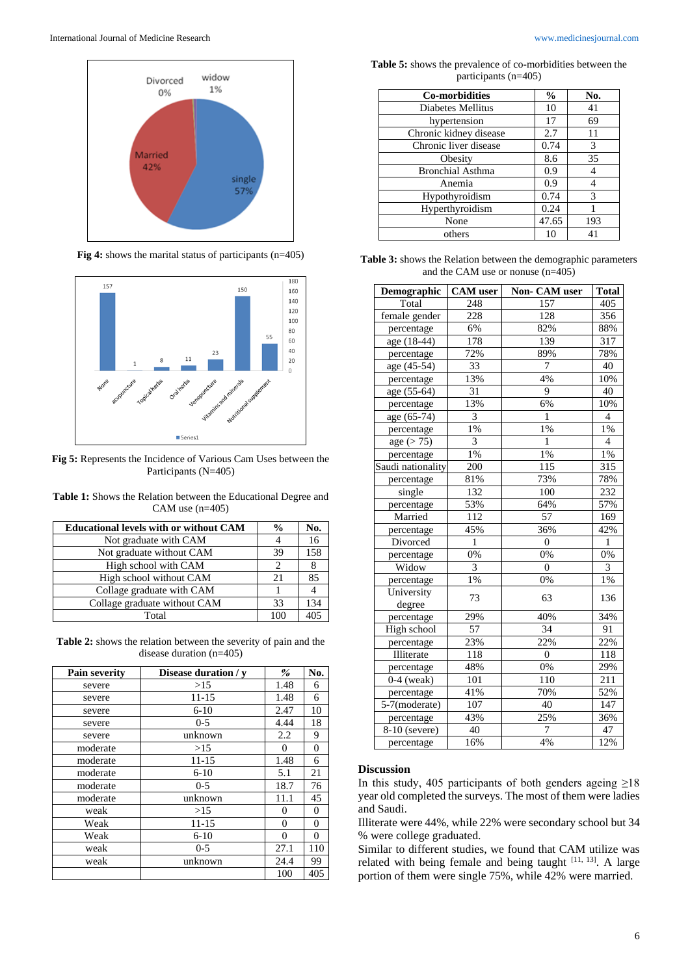

**Fig 4:** shows the marital status of participants (n=405)



**Fig 5:** Represents the Incidence of Various Cam Uses between the Participants (N=405)

**Table 1:** Shows the Relation between the Educational Degree and CAM use (n=405)

| <b>Educational levels with or without CAM</b> | $\frac{0}{0}$ | No.    |
|-----------------------------------------------|---------------|--------|
| Not graduate with CAM                         |               | 16     |
| Not graduate without CAM                      | 39            | 158    |
| High school with CAM                          |               |        |
| High school without CAM                       | 21            | 85     |
| Collage graduate with CAM                     |               |        |
| Collage graduate without CAM                  | 33            | 134    |
| Total                                         | 100           | $40 -$ |

**Table 2:** shows the relation between the severity of pain and the disease duration (n=405)

| Pain severity | Disease duration / v | $\%$ | No.            |
|---------------|----------------------|------|----------------|
| severe        | >15                  | 1.48 | 6              |
| severe        | $11 - 15$            | 1.48 | 6              |
| severe        | $6 - 10$             | 2.47 | 10             |
| severe        | $0 - 5$              | 4.44 | 18             |
| severe        | unknown              | 2.2  | 9              |
| moderate      | >15                  | 0    | $\overline{0}$ |
| moderate      | $11 - 15$            | 1.48 | 6              |
| moderate      | $6-10$               | 5.1  | 21             |
| moderate      | $0 - 5$              | 18.7 | 76             |
| moderate      | unknown              | 11.1 | 45             |
| weak          | >15                  | 0    | $\Omega$       |
| Weak          | $11 - 15$            | 0    | 0              |
| Weak          | $6 - 10$<br>0        |      | $\Omega$       |
| weak          | 27.1<br>$0 - 5$      |      | 110            |
| weak          | unknown              | 24.4 | 99             |
|               |                      | 100  | 405            |

**Table 5:** shows the prevalence of co-morbidities between the participants (n=405)

| <b>Co-morbidities</b>   | $\frac{6}{9}$ | No. |
|-------------------------|---------------|-----|
| Diabetes Mellitus       | 10            | 41  |
| hypertension            | 17            | 69  |
| Chronic kidney disease  | 2.7           | 11  |
| Chronic liver disease   | 0.74          | 3   |
| Obesity                 | 8.6           | 35  |
| <b>Bronchial Asthma</b> | 0.9           | 4   |
| Anemia                  | 0.9           | 4   |
| Hypothyroidism          | 0.74          | 3   |
| Hyperthyroidism         | 0.24          |     |
| None                    | 47.65         | 193 |
| others                  | 10            | 41  |

**Table 3:** shows the Relation between the demographic parameters and the CAM use or nonuse (n=405)

| Demographic          | <b>CAM</b> user  | Non- CAM user    | <b>Total</b>     |
|----------------------|------------------|------------------|------------------|
| Total                | 248              | 157              | 405              |
| female gender        | 228              | 128              | 356              |
| percentage           | 6%               | 82%              | 88%              |
| age (18-44)          | $\overline{178}$ | 139              | 317              |
| percentage           | 72%              | 89%              | 78%              |
| age (45-54)          | 33               | 7                | 40               |
| percentage           | 13%              | 4%               | 10%              |
| age (55-64)          | 31               | 9                | 40               |
| percentage           | 13%              | 6%               | 10%              |
| age (65-74)          | 3                | $\mathbf{1}$     | $\overline{4}$   |
| percentage           | $1\%$            | 1%               | 1%               |
| age (> 75)           | 3                | 1                | $\overline{4}$   |
| percentage           | 1%               | 1%               | 1%               |
| Saudi nationality    | 200              | 115              | $\overline{315}$ |
| percentage           | 81%              | 73%              | 78%              |
| single               | 132              | $\overline{100}$ | 232              |
| percentage           | 53%              | 64%              | 57%              |
| Married              | $\overline{112}$ | 57               | $\overline{169}$ |
| percentage           | 45%              | 36%              | 42%              |
| Divorced             | $\mathbf{1}$     | $\overline{0}$   | $\mathbf{1}$     |
| percentage           | 0%               | 0%               | 0%               |
| Widow                | 3                | $\overline{0}$   | 3                |
| percentage           | $1\%$            | 0%               | 1%               |
| University<br>degree | 73               | 63               | 136              |
| percentage           | 29%              | 40%              | 34%              |
| High school          | 57               | $\overline{34}$  | 91               |
| percentage           | 23%              | 22%              | 22%              |
| <b>Illiterate</b>    | $\overline{118}$ | $\overline{0}$   | 118              |
| percentage           | 48%              | 0%               | 29%              |
| $0-4$ (weak)         | 101              | 110              | $\overline{211}$ |
| percentage           | 41%              | 70%              | 52%              |
| 5-7(moderate)        | 107              | 40               | 147              |
| percentage           | 43%              | 25%              | 36%              |
| 8-10 (severe)        | 40               | $\overline{7}$   | 47               |
| percentage           | 16%              | 4%               | 12%              |

### **Discussion**

In this study, 405 participants of both genders ageing  $\geq$ 18 year old completed the surveys. The most of them were ladies and Saudi.

Illiterate were 44%, while 22% were secondary school but 34 % were college graduated.

Similar to different studies, we found that CAM utilize was related with being female and being taught  $[11, 13]$ . A large portion of them were single 75%, while 42% were married.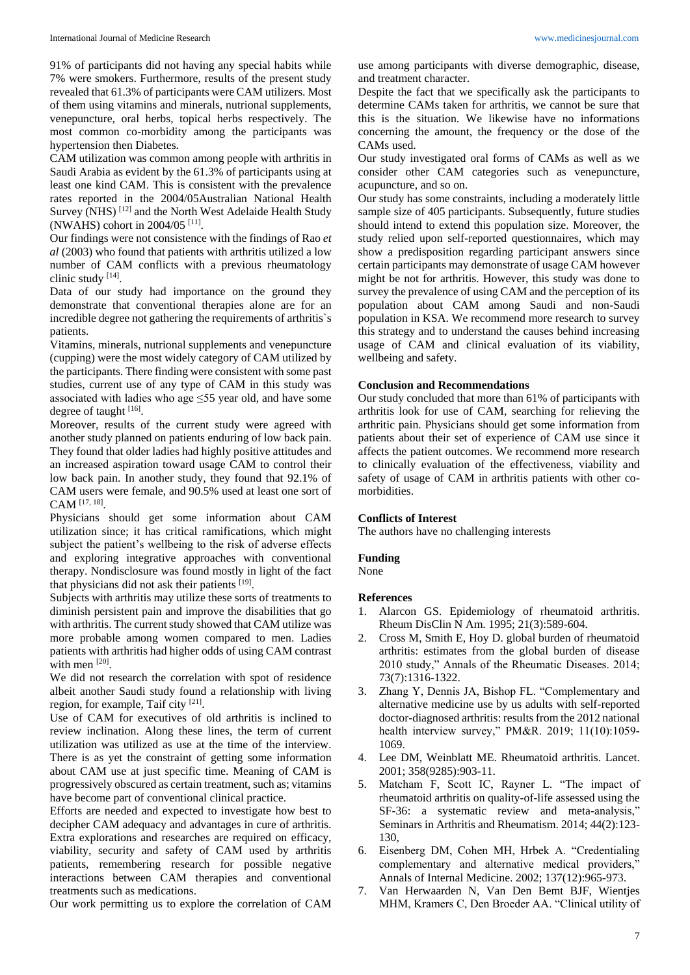91% of participants did not having any special habits while 7% were smokers. Furthermore, results of the present study revealed that 61.3% of participants were CAM utilizers. Most of them using vitamins and minerals, nutrional supplements, venepuncture, oral herbs, topical herbs respectively. The most common co-morbidity among the participants was hypertension then Diabetes.

CAM utilization was common among people with arthritis in Saudi Arabia as evident by the 61.3% of participants using at least one kind CAM. This is consistent with the prevalence rates reported in the 2004/05Australian National Health Survey (NHS)<sup>[12]</sup> and the North West Adelaide Health Study (NWAHS) cohort in 2004/05 [11] .

Our findings were not consistence with the findings of Rao *et al* (2003) who found that patients with arthritis utilized a low number of CAM conflicts with a previous rheumatology clinic study [14].

Data of our study had importance on the ground they demonstrate that conventional therapies alone are for an incredible degree not gathering the requirements of arthritis`s patients.

Vitamins, minerals, nutrional supplements and venepuncture (cupping) were the most widely category of CAM utilized by the participants. There finding were consistent with some past studies, current use of any type of CAM in this study was associated with ladies who age ≤55 year old, and have some degree of taught [16].

Moreover, results of the current study were agreed with another study planned on patients enduring of low back pain. They found that older ladies had highly positive attitudes and an increased aspiration toward usage CAM to control their low back pain. In another study, they found that 92.1% of CAM users were female, and 90.5% used at least one sort of CAM [17, 18] .

Physicians should get some information about CAM utilization since; it has critical ramifications, which might subject the patient's wellbeing to the risk of adverse effects and exploring integrative approaches with conventional therapy. Nondisclosure was found mostly in light of the fact that physicians did not ask their patients [19].

Subjects with arthritis may utilize these sorts of treatments to diminish persistent pain and improve the disabilities that go with arthritis. The current study showed that CAM utilize was more probable among women compared to men. Ladies patients with arthritis had higher odds of using CAM contrast with men [20].

We did not research the correlation with spot of residence albeit another Saudi study found a relationship with living region, for example, Taif city <sup>[21]</sup>.

Use of CAM for executives of old arthritis is inclined to review inclination. Along these lines, the term of current utilization was utilized as use at the time of the interview. There is as yet the constraint of getting some information about CAM use at just specific time. Meaning of CAM is progressively obscured as certain treatment, such as; vitamins have become part of conventional clinical practice.

Efforts are needed and expected to investigate how best to decipher CAM adequacy and advantages in cure of arthritis. Extra explorations and researches are required on efficacy, viability, security and safety of CAM used by arthritis patients, remembering research for possible negative interactions between CAM therapies and conventional treatments such as medications.

Our work permitting us to explore the correlation of CAM

use among participants with diverse demographic, disease, and treatment character.

Despite the fact that we specifically ask the participants to determine CAMs taken for arthritis, we cannot be sure that this is the situation. We likewise have no informations concerning the amount, the frequency or the dose of the CAMs used.

Our study investigated oral forms of CAMs as well as we consider other CAM categories such as venepuncture, acupuncture, and so on.

Our study has some constraints, including a moderately little sample size of 405 participants. Subsequently, future studies should intend to extend this population size. Moreover, the study relied upon self-reported questionnaires, which may show a predisposition regarding participant answers since certain participants may demonstrate of usage CAM however might be not for arthritis. However, this study was done to survey the prevalence of using CAM and the perception of its population about CAM among Saudi and non-Saudi population in KSA. We recommend more research to survey this strategy and to understand the causes behind increasing usage of CAM and clinical evaluation of its viability, wellbeing and safety.

### **Conclusion and Recommendations**

Our study concluded that more than 61% of participants with arthritis look for use of CAM, searching for relieving the arthritic pain. Physicians should get some information from patients about their set of experience of CAM use since it affects the patient outcomes. We recommend more research to clinically evaluation of the effectiveness, viability and safety of usage of CAM in arthritis patients with other comorbidities.

### **Conflicts of Interest**

The authors have no challenging interests

### **Funding**

None

### **References**

- 1. Alarcon GS. Epidemiology of rheumatoid arthritis. Rheum DisClin N Am. 1995; 21(3):589-604.
- 2. Cross M, Smith E, Hoy D. global burden of rheumatoid arthritis: estimates from the global burden of disease 2010 study," Annals of the Rheumatic Diseases. 2014; 73(7):1316-1322.
- 3. Zhang Y, Dennis JA, Bishop FL. "Complementary and alternative medicine use by us adults with self-reported doctor-diagnosed arthritis: results from the 2012 national health interview survey," PM&R. 2019; 11(10):1059- 1069.
- 4. Lee DM, Weinblatt ME. Rheumatoid arthritis. Lancet. 2001; 358(9285):903-11.
- 5. Matcham F, Scott IC, Rayner L. "The impact of rheumatoid arthritis on quality-of-life assessed using the SF-36: a systematic review and meta-analysis," Seminars in Arthritis and Rheumatism. 2014; 44(2):123- 130,
- 6. Eisenberg DM, Cohen MH, Hrbek A. "Credentialing complementary and alternative medical providers," Annals of Internal Medicine. 2002; 137(12):965-973.
- 7. Van Herwaarden N, Van Den Bemt BJF, Wientjes MHM, Kramers C, Den Broeder AA. "Clinical utility of